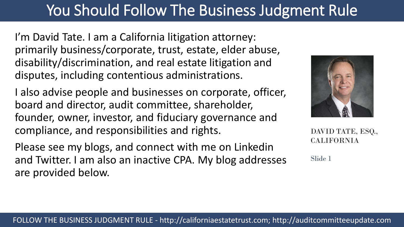# You Should Follow The Business Judgment Rule

I'm David Tate. I am a California litigation attorney: primarily business/corporate, trust, estate, elder abuse, disability/discrimination, and real estate litigation and disputes, including contentious administrations.

I also advise people and businesses on corporate, officer, board and director, audit committee, shareholder, founder, owner, investor, and fiduciary governance and compliance, and responsibilities and rights.

Please see my blogs, and connect with me on Linkedin and Twitter. I am also an inactive CPA. My blog addresses are provided below.



DAVID TATE, ESQ., CALIFORNIA

Slide 1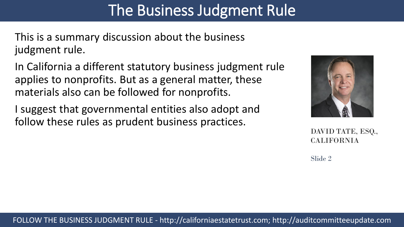### The Business Judgment Rule

This is a summary discussion about the business judgment rule.

In California a different statutory business judgment rule applies to nonprofits. But as a general matter, these materials also can be followed for nonprofits.

I suggest that governmental entities also adopt and follow these rules as prudent business practices.



DAVID TATE, ESQ., CALIFORNIA

Slide 2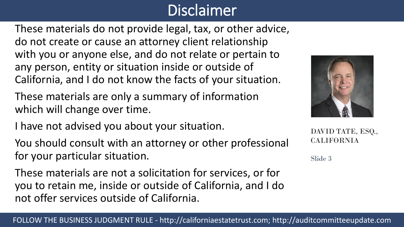### Disclaimer

These materials do not provide legal, tax, or other advice, do not create or cause an attorney client relationship with you or anyone else, and do not relate or pertain to any person, entity or situation inside or outside of California, and I do not know the facts of your situation.

These materials are only a summary of information which will change over time.

I have not advised you about your situation.

You should consult with an attorney or other professional for your particular situation.

These materials are not a solicitation for services, or for you to retain me, inside or outside of California, and I do not offer services outside of California.



DAVID TATE, ESQ., CALIFORNIA

Slide 3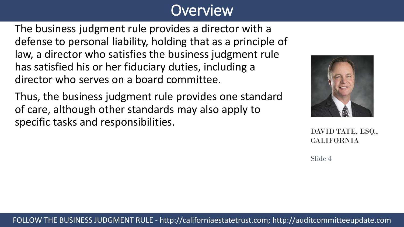### **Overview**

The business judgment rule provides a director with a defense to personal liability, holding that as a principle of law, a director who satisfies the business judgment rule has satisfied his or her fiduciary duties, including a director who serves on a board committee.

Thus, the business judgment rule provides one standard of care, although other standards may also apply to specific tasks and responsibilities.



DAVID TATE, ESQ., CALIFORNIA

Slide 4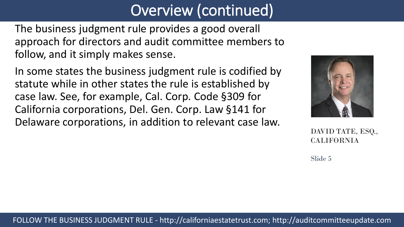### Overview (continued)

The business judgment rule provides a good overall approach for directors and audit committee members to follow, and it simply makes sense.

In some states the business judgment rule is codified by statute while in other states the rule is established by case law. See, for example, Cal. Corp. Code §309 for California corporations, Del. Gen. Corp. Law §141 for Delaware corporations, in addition to relevant case law.



DAVID TATE, ESQ., CALIFORNIA

Slide 5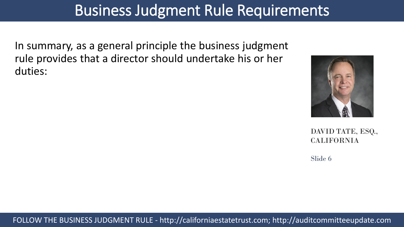### Business Judgment Rule Requirements

In summary, as a general principle the business judgment rule provides that a director should undertake his or her duties:



DAVID TATE, ESQ., CALIFORNIA

Slide 6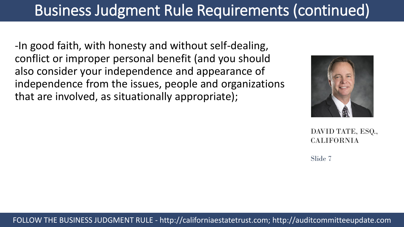-In good faith, with honesty and without self-dealing, conflict or improper personal benefit (and you should also consider your independence and appearance of independence from the issues, people and organizations that are involved, as situationally appropriate);



DAVID TATE, ESQ., CALIFORNIA

Slide 7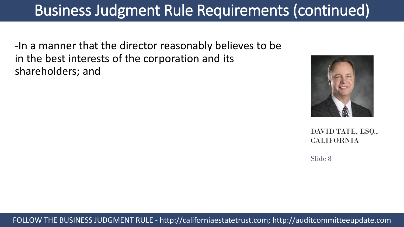-In a manner that the director reasonably believes to be in the best interests of the corporation and its shareholders; and



DAVID TATE, ESQ., CALIFORNIA

Slide 8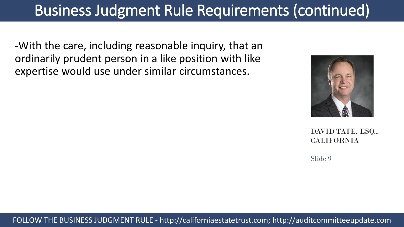-With the care, including reasonable inquiry, that an ordinarily prudent person in a like position with like expertise would use under similar circumstances.



DAVID TATE, ESQ., CALIFORNIA

Slide 9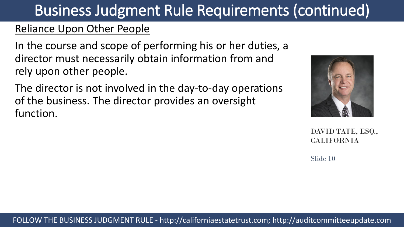### of the business. The director provides an oversight

function.

DAVID TATE, ESQ., CALIFORNIA

Slide 10

### Business Judgment Rule Requirements (continued)

### Reliance Upon Other People

In the course and scope of performing his or her duties, a director must necessarily obtain information from and rely upon other people.

The director is not involved in the day-to-day operations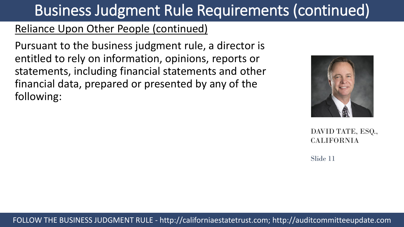#### Reliance Upon Other People (continued)

Pursuant to the business judgment rule, a director is entitled to rely on information, opinions, reports or statements, including financial statements and other financial data, prepared or presented by any of the following:



DAVID TATE, ESQ., CALIFORNIA

Slide 11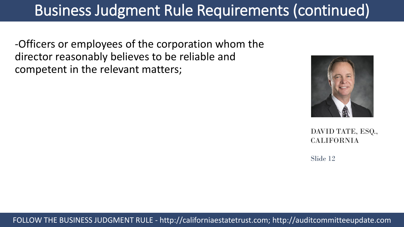-Officers or employees of the corporation whom the director reasonably believes to be reliable and competent in the relevant matters;



DAVID TATE, ESQ., CALIFORNIA

Slide 12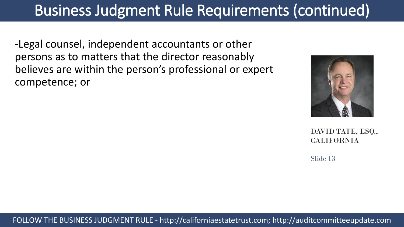-Legal counsel, independent accountants or other persons as to matters that the director reasonably believes are within the person's professional or expert competence; or



DAVID TATE, ESQ., CALIFORNIA

Slide 13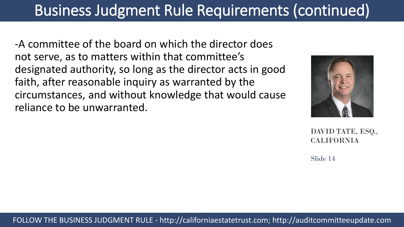-A committee of the board on which the director does not serve, as to matters within that committee's designated authority, so long as the director acts in good faith, after reasonable inquiry as warranted by the circumstances, and without knowledge that would cause reliance to be unwarranted.



DAVID TATE, ESQ., CALIFORNIA

Slide 14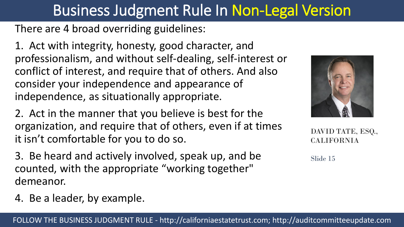## Business Judgment Rule In Non-Legal Version

There are 4 broad overriding guidelines:

1. Act with integrity, honesty, good character, and professionalism, and without self-dealing, self-interest or conflict of interest, and require that of others. And also consider your independence and appearance of independence, as situationally appropriate.

- 2. Act in the manner that you believe is best for the organization, and require that of others, even if at times it isn't comfortable for you to do so.
- 3. Be heard and actively involved, speak up, and be counted, with the appropriate "working together" demeanor.
- 4. Be a leader, by example.



DAVID TATE, ESQ., CALIFORNIA

Slide 15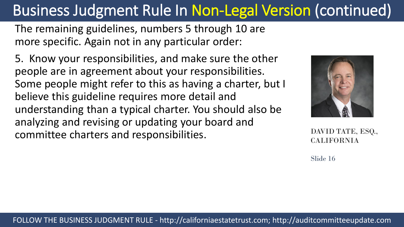The remaining guidelines, numbers 5 through 10 are more specific. Again not in any particular order:

5. Know your responsibilities, and make sure the other people are in agreement about your responsibilities. Some people might refer to this as having a charter, but I believe this guideline requires more detail and understanding than a typical charter. You should also be analyzing and revising or updating your board and committee charters and responsibilities.



DAVID TATE, ESQ., CALIFORNIA

Slide 16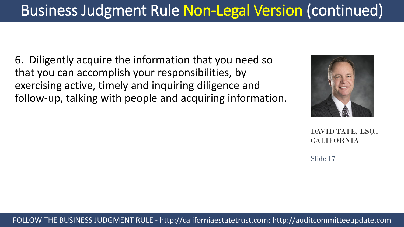6. Diligently acquire the information that you need so that you can accomplish your responsibilities, by exercising active, timely and inquiring diligence and follow-up, talking with people and acquiring information.



DAVID TATE, ESQ., CALIFORNIA

Slide 17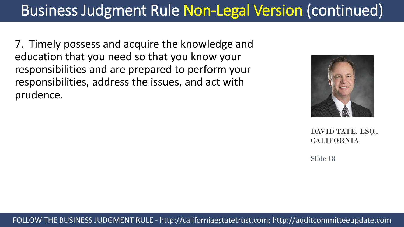7. Timely possess and acquire the knowledge and education that you need so that you know your responsibilities and are prepared to perform your responsibilities, address the issues, and act with prudence.



DAVID TATE, ESQ., CALIFORNIA

Slide 18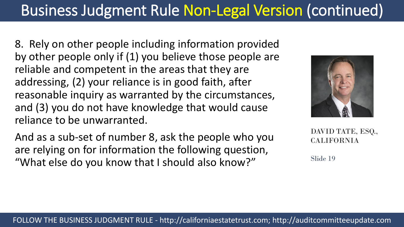8. Rely on other people including information provided by other people only if (1) you believe those people are reliable and competent in the areas that they are addressing, (2) your reliance is in good faith, after reasonable inquiry as warranted by the circumstances, and (3) you do not have knowledge that would cause reliance to be unwarranted.

And as a sub-set of number 8, ask the people who you are relying on for information the following question, "What else do you know that I should also know?"



DAVID TATE, ESQ., CALIFORNIA

Slide 19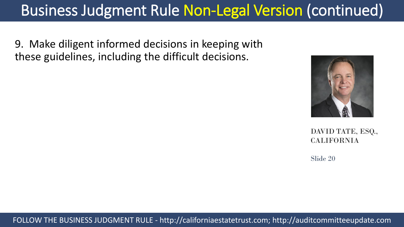9. Make diligent informed decisions in keeping with these guidelines, including the difficult decisions.



DAVID TATE, ESQ., CALIFORNIA

Slide 20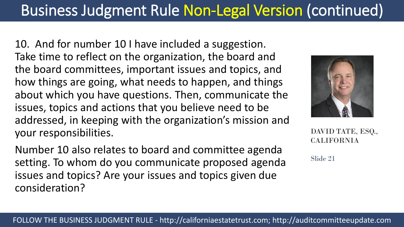10. And for number 10 I have included a suggestion. Take time to reflect on the organization, the board and the board committees, important issues and topics, and how things are going, what needs to happen, and things about which you have questions. Then, communicate the issues, topics and actions that you believe need to be addressed, in keeping with the organization's mission and your responsibilities.

Number 10 also relates to board and committee agenda setting. To whom do you communicate proposed agenda issues and topics? Are your issues and topics given due consideration?



DAVID TATE, ESQ., CALIFORNIA

Slide 21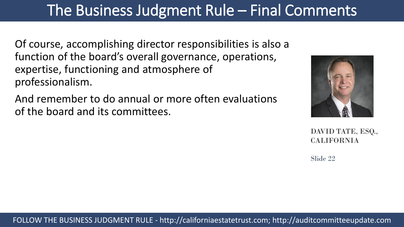### The Business Judgment Rule – Final Comments

Of course, accomplishing director responsibilities is also a function of the board's overall governance, operations, expertise, functioning and atmosphere of professionalism.

And remember to do annual or more often evaluations of the board and its committees.



DAVID TATE, ESQ., CALIFORNIA

Slide 22